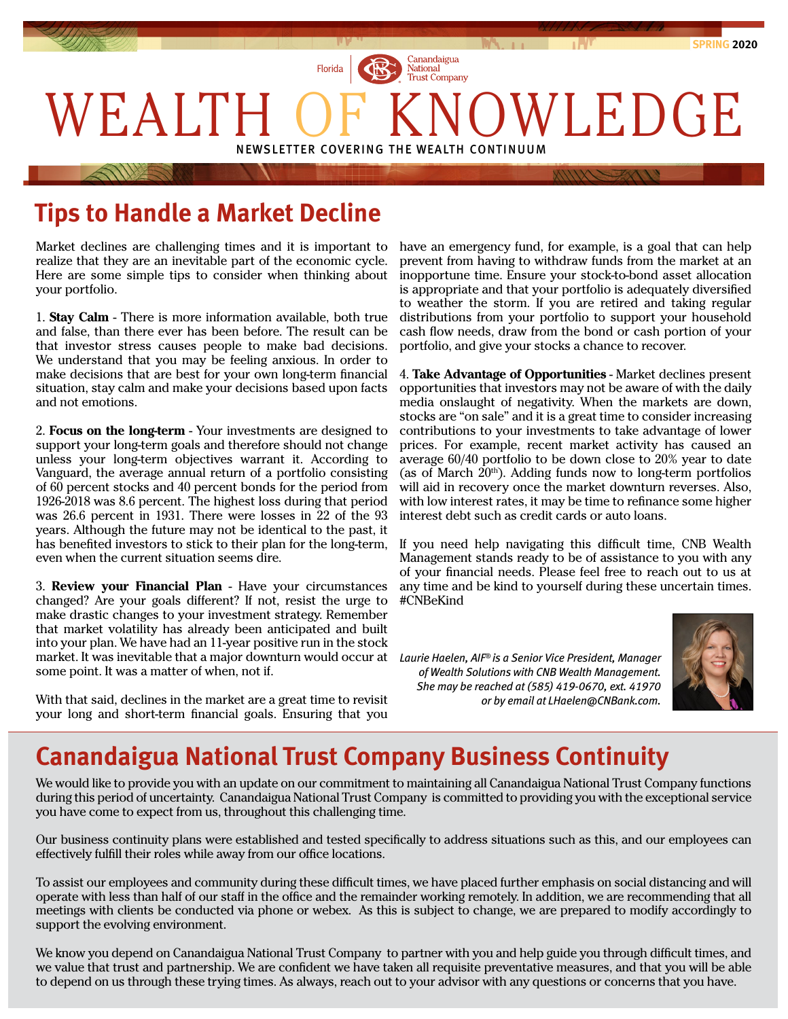

## **Tips to Handle a Market Decline**

Market declines are challenging times and it is important to realize that they are an inevitable part of the economic cycle. Here are some simple tips to consider when thinking about your portfolio.

1. **Stay Calm** - There is more information available, both true and false, than there ever has been before. The result can be that investor stress causes people to make bad decisions. We understand that you may be feeling anxious. In order to make decisions that are best for your own long-term financial situation, stay calm and make your decisions based upon facts and not emotions.

2. **Focus on the long-term** - Your investments are designed to support your long-term goals and therefore should not change unless your long-term objectives warrant it. According to Vanguard, the average annual return of a portfolio consisting of 60 percent stocks and 40 percent bonds for the period from 1926-2018 was 8.6 percent. The highest loss during that period was 26.6 percent in 1931. There were losses in 22 of the 93 years. Although the future may not be identical to the past, it has benefited investors to stick to their plan for the long-term, even when the current situation seems dire.

3. **Review your Financial Plan** - Have your circumstances changed? Are your goals different? If not, resist the urge to make drastic changes to your investment strategy. Remember that market volatility has already been anticipated and built into your plan. We have had an 11-year positive run in the stock market. It was inevitable that a major downturn would occur at some point. It was a matter of when, not if.

With that said, declines in the market are a great time to revisit your long and short-term financial goals. Ensuring that you

have an emergency fund, for example, is a goal that can help prevent from having to withdraw funds from the market at an inopportune time. Ensure your stock-to-bond asset allocation is appropriate and that your portfolio is adequately diversified to weather the storm. If you are retired and taking regular distributions from your portfolio to support your household cash flow needs, draw from the bond or cash portion of your portfolio, and give your stocks a chance to recover.

4. **Take Advantage of Opportunities** - Market declines present opportunities that investors may not be aware of with the daily media onslaught of negativity. When the markets are down, stocks are "on sale" and it is a great time to consider increasing contributions to your investments to take advantage of lower prices. For example, recent market activity has caused an average 60/40 portfolio to be down close to 20% year to date (as of March  $20<sup>th</sup>$ ). Adding funds now to long-term portfolios will aid in recovery once the market downturn reverses. Also, with low interest rates, it may be time to refinance some higher interest debt such as credit cards or auto loans.

If you need help navigating this difficult time, CNB Wealth Management stands ready to be of assistance to you with any of your financial needs. Please feel free to reach out to us at any time and be kind to yourself during these uncertain times. #CNBeKind

 *Laurie Haelen, AIF® is a Senior Vice President, Manager of Wealth Solutions with CNB Wealth Management. She may be reached at (585) 419-0670, ext. 41970 or by email at [LHaelen@CNBank.com](mailto:LHaelen%40CNBank.com?subject=).*



# **Canandaigua National Trust Company Business Continuity**

We would like to provide you with an update on our commitment to maintaining all Canandaigua National Trust Company functions during this period of uncertainty. Canandaigua National Trust Company is committed to providing you with the exceptional service you have come to expect from us, throughout this challenging time.

Our business continuity plans were established and tested specifically to address situations such as this, and our employees can effectively fulfill their roles while away from our office locations.

To assist our employees and community during these difficult times, we have placed further emphasis on social distancing and will operate with less than half of our staff in the office and the remainder working remotely. In addition, we are recommending that all meetings with clients be conducted via phone or webex. As this is subject to change, we are prepared to modify accordingly to support the evolving environment.

We know you depend on Canandaigua National Trust Company to partner with you and help guide you through difficult times, and we value that trust and partnership. We are confident we have taken all requisite preventative measures, and that you will be able to depend on us through these trying times. As always, reach out to your advisor with any questions or concerns that you have.